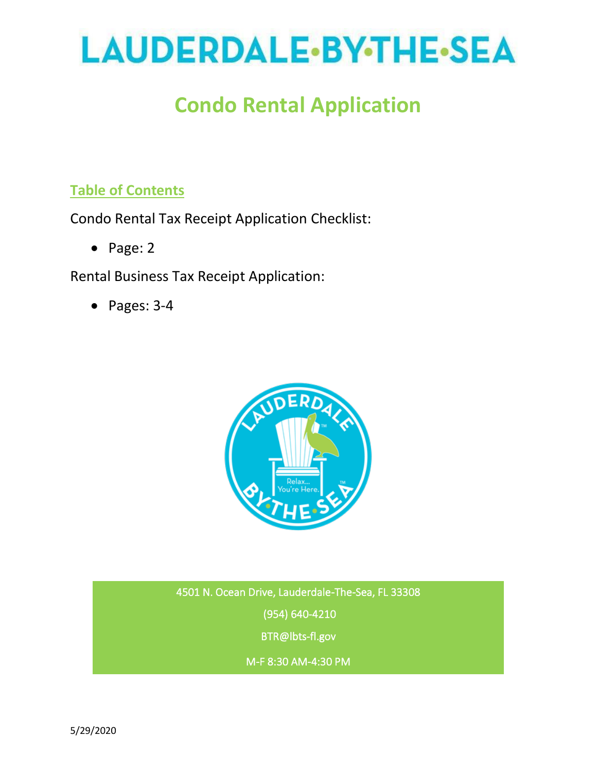# LAUDERDALE.BY.THE.SEA

## **Condo Rental Application**

## **Table of Contents**

Condo Rental Tax Receipt Application Checklist:

• Page: 2

Rental Business Tax Receipt Application:

• Pages: 3-4



4501 N. Ocean Drive, Lauderdale-The-Sea, FL 33308 (954) 640-4210 BTR@lbts-fl.gov

M-F 8:30 AM-4:30 PM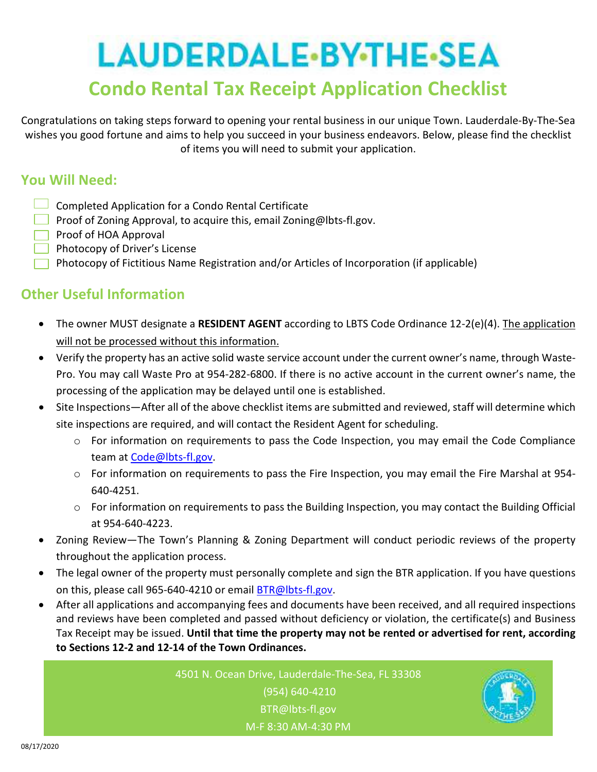## LAUDERDALE-BY-THE-SEA **Condo Rental Tax Receipt Application Checklist**

Congratulations on taking steps forward to opening your rental business in our unique Town. Lauderdale-By-The-Sea wishes you good fortune and aims to help you succeed in your business endeavors. Below, please find the checklist of items you will need to submit your application.

### **You Will Need:**

- $\Box$  Completed Application for a Condo Rental Certificate
- **Proof of Zoning Approval, to acquire this, email Zoning@lbts-fl.gov.**
- **Proof of HOA Approval**
- **Photocopy of Driver's License**
- **Photocopy of Fictitious Name Registration and/or Articles of Incorporation (if applicable)**

## **Other Useful Information**

- The owner MUST designate a **RESIDENT AGENT** according to LBTS Code Ordinance 12-2(e)(4). The application will not be processed without this information.
- Verify the property has an active solid waste service account under the current owner's name, through Waste-Pro. You may call Waste Pro at 954-282-6800. If there is no active account in the current owner's name, the processing of the application may be delayed until one is established.
- Site Inspections—After all of the above checklist items are submitted and reviewed, staff will determine which site inspections are required, and will contact the Resident Agent for scheduling.
	- o For information on requirements to pass the Code Inspection, you may email the Code Compliance team at Code@lbts-fl.gov.
	- $\circ$  For information on requirements to pass the Fire Inspection, you may email the Fire Marshal at 954-640-4251.
	- $\circ$  For information on requirements to pass the Building Inspection, you may contact the Building Official at 954-640-4223.
- Zoning Review—The Town's Planning & Zoning Department will conduct periodic reviews of the property throughout the application process.
- The legal owner of the property must personally complete and sign the BTR application. If you have questions on this, please call 965-640-4210 or email **BTR@lbts-fl.gov**.
- After all applications and accompanying fees and documents have been received, and all required inspections and reviews have been completed and passed without deficiency or violation, the certificate(s) and Business Tax Receipt may be issued. **Until that time the property may not be rented or advertised for rent, according to Sections 12-2 and 12-14 of the Town Ordinances.**

4501 N. Ocean Drive, Lauderdale-The-Sea, FL 33308 (954) 640-4210 BTR@lbts-fl.gov M-F 8:30 AM-4:30 PM

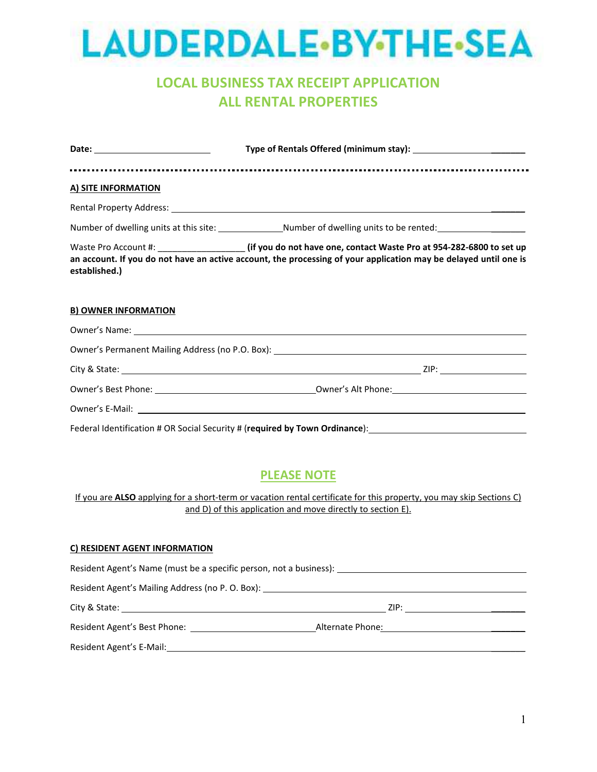# LAUDERDALE-BY-THE-SEA

## **LOCAL BUSINESS TAX RECEIPT APPLICATION ALL RENTAL PROPERTIES**

| A) SITE INFORMATION         |                                                                                                                                                                                                                                         |
|-----------------------------|-----------------------------------------------------------------------------------------------------------------------------------------------------------------------------------------------------------------------------------------|
|                             |                                                                                                                                                                                                                                         |
|                             | Number of dwelling units at this site: ________________Number of dwelling units to be rented: ________________                                                                                                                          |
| established.)               | Waste Pro Account #: _________________________ (if you do not have one, contact Waste Pro at 954-282-6800 to set up<br>an account. If you do not have an active account, the processing of your application may be delayed until one is |
| <b>B) OWNER INFORMATION</b> |                                                                                                                                                                                                                                         |
|                             | Owner's Name: contract the contract of the contract of the contract of the contract of the contract of the contract of the contract of the contract of the contract of the contract of the contract of the contract of the con          |
|                             |                                                                                                                                                                                                                                         |
|                             |                                                                                                                                                                                                                                         |
|                             |                                                                                                                                                                                                                                         |
|                             |                                                                                                                                                                                                                                         |
|                             | Federal Identification # OR Social Security # (required by Town Ordinance): 11 11 12 12 12 12 13 14 14 15 16                                                                                                                            |

### **PLEASE NOTE**

If you are **ALSO** applying for a short-term or vacation rental certificate for this property, you may skip Sections C) and D) of this application and move directly to section E).

#### **C) RESIDENT AGENT INFORMATION**

|                                                                                  | Resident Agent's Name (must be a specific person, not a business): _________________________________          |
|----------------------------------------------------------------------------------|---------------------------------------------------------------------------------------------------------------|
| Resident Agent's Mailing Address (no P. O. Box): _______________________________ |                                                                                                               |
|                                                                                  | ZIP: Album and the state of the state of the state of the state of the state of the state of the state of the |
| Resident Agent's Best Phone:                                                     | Alternate Phone:                                                                                              |
| Resident Agent's E-Mail:                                                         |                                                                                                               |